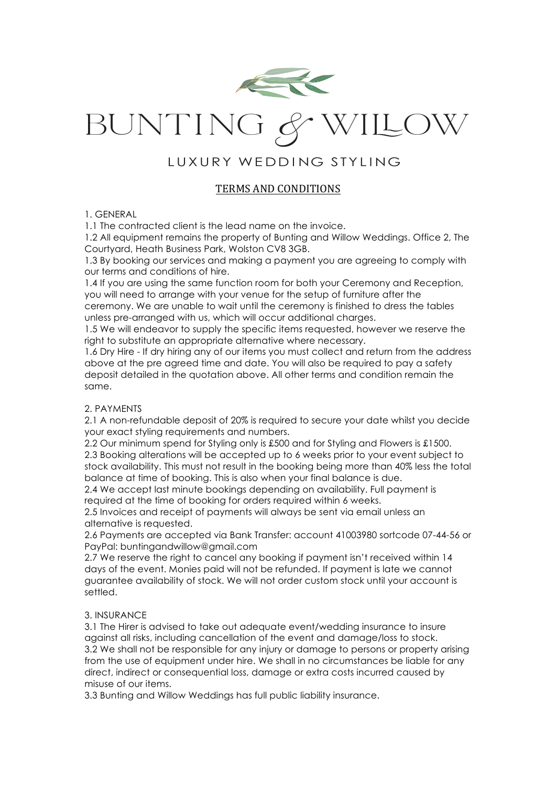

# BUNTing & WiLow

## LUXURY WEDDING STYLING

### TERMS AND CONDITIONS

#### 1. GENERAL

1.1 The contracted client is the lead name on the invoice.

1.2 All equipment remains the property of Bunting and Willow Weddings. Office 2, The Courtyard, Heath Business Park, Wolston CV8 3GB.

1.3 By booking our services and making a payment you are agreeing to comply with our terms and conditions of hire.

1.4 If you are using the same function room for both your Ceremony and Reception, you will need to arrange with your venue for the setup of furniture after the ceremony. We are unable to wait until the ceremony is finished to dress the tables unless pre-arranged with us, which will occur additional charges.

1.5 We will endeavor to supply the specific items requested, however we reserve the right to substitute an appropriate alternative where necessary.

1.6 Dry Hire - If dry hiring any of our items you must collect and return from the address above at the pre agreed time and date. You will also be required to pay a safety deposit detailed in the quotation above. All other terms and condition remain the same.

#### 2. PAYMENTS

2.1 A non-refundable deposit of 20% is required to secure your date whilst you decide your exact styling requirements and numbers.

2.2 Our minimum spend for Styling only is £500 and for Styling and Flowers is £1500. 2.3 Booking alterations will be accepted up to 6 weeks prior to your event subject to stock availability. This must not result in the booking being more than 40% less the total balance at time of booking. This is also when your final balance is due.

2.4 We accept last minute bookings depending on availability. Full payment is required at the time of booking for orders required within 6 weeks.

2.5 Invoices and receipt of payments will always be sent via email unless an alternative is requested.

2.6 Payments are accepted via Bank Transfer: account 41003980 sortcode 07-44-56 or PayPal: buntingandwillow@gmail.com

2.7 We reserve the right to cancel any booking if payment isn't received within 14 days of the event. Monies paid will not be refunded. If payment is late we cannot guarantee availability of stock. We will not order custom stock until your account is settled.

#### 3. INSURANCE

3.1 The Hirer is advised to take out adequate event/wedding insurance to insure against all risks, including cancellation of the event and damage/loss to stock. 3.2 We shall not be responsible for any injury or damage to persons or property arising from the use of equipment under hire. We shall in no circumstances be liable for any direct, indirect or consequential loss, damage or extra costs incurred caused by misuse of our items.

3.3 Bunting and Willow Weddings has full public liability insurance.